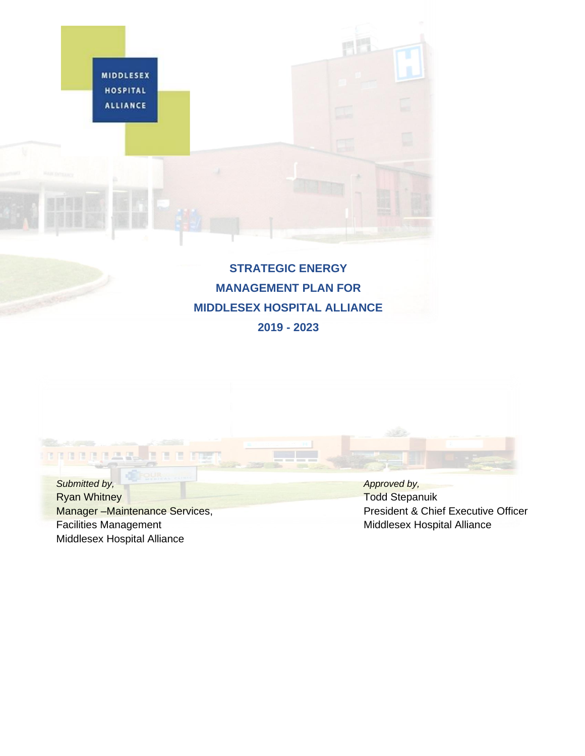

# **STRATEGIC ENERGY MANAGEMENT PLAN FOR MIDDLESEX HOSPITAL ALLIANCE**

**2019 - 2023** 



Facilities Management Middlesex Hospital Alliance Middlesex Hospital Alliance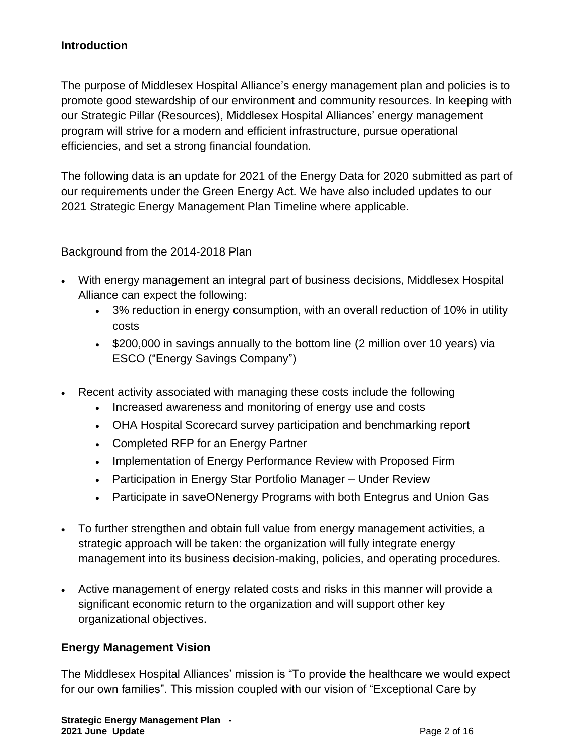# **Introduction**

The purpose of Middlesex Hospital Alliance's energy management plan and policies is to promote good stewardship of our environment and community resources. In keeping with our Strategic Pillar (Resources), Middlesex Hospital Alliances' energy management program will strive for a modern and efficient infrastructure, pursue operational efficiencies, and set a strong financial foundation.

The following data is an update for 2021 of the Energy Data for 2020 submitted as part of our requirements under the Green Energy Act. We have also included updates to our 2021 Strategic Energy Management Plan Timeline where applicable.

Background from the 2014-2018 Plan

- With energy management an integral part of business decisions, Middlesex Hospital Alliance can expect the following:
	- 3% reduction in energy consumption, with an overall reduction of 10% in utility costs
	- \$200,000 in savings annually to the bottom line (2 million over 10 years) via ESCO ("Energy Savings Company")
- Recent activity associated with managing these costs include the following
	- Increased awareness and monitoring of energy use and costs
	- OHA Hospital Scorecard survey participation and benchmarking report
	- Completed RFP for an Energy Partner
	- Implementation of Energy Performance Review with Proposed Firm
	- Participation in Energy Star Portfolio Manager Under Review
	- Participate in saveONenergy Programs with both Entegrus and Union Gas
- To further strengthen and obtain full value from energy management activities, a strategic approach will be taken: the organization will fully integrate energy management into its business decision-making, policies, and operating procedures.
- Active management of energy related costs and risks in this manner will provide a significant economic return to the organization and will support other key organizational objectives.

#### **Energy Management Vision**

The Middlesex Hospital Alliances' mission is "To provide the healthcare we would expect for our own families". This mission coupled with our vision of "Exceptional Care by

**Strategic Energy Management Plan - 2021 June Update** Page 2 of 16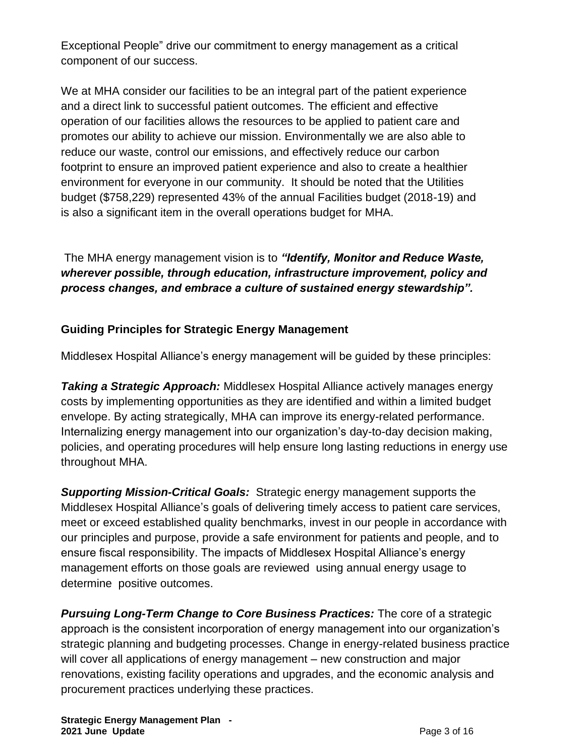Exceptional People" drive our commitment to energy management as a critical component of our success.

We at MHA consider our facilities to be an integral part of the patient experience and a direct link to successful patient outcomes. The efficient and effective operation of our facilities allows the resources to be applied to patient care and promotes our ability to achieve our mission. Environmentally we are also able to reduce our waste, control our emissions, and effectively reduce our carbon footprint to ensure an improved patient experience and also to create a healthier environment for everyone in our community. It should be noted that the Utilities budget (\$758,229) represented 43% of the annual Facilities budget (2018-19) and is also a significant item in the overall operations budget for MHA.

The MHA energy management vision is to *"Identify, Monitor and Reduce Waste, wherever possible, through education, infrastructure improvement, policy and process changes, and embrace a culture of sustained energy stewardship".* 

# **Guiding Principles for Strategic Energy Management**

Middlesex Hospital Alliance's energy management will be guided by these principles:

*Taking a Strategic Approach:* Middlesex Hospital Alliance actively manages energy costs by implementing opportunities as they are identified and within a limited budget envelope. By acting strategically, MHA can improve its energy-related performance. Internalizing energy management into our organization's day-to-day decision making, policies, and operating procedures will help ensure long lasting reductions in energy use throughout MHA.

*Supporting Mission-Critical Goals:*Strategic energy management supports the Middlesex Hospital Alliance's goals of delivering timely access to patient care services, meet or exceed established quality benchmarks, invest in our people in accordance with our principles and purpose, provide a safe environment for patients and people, and to ensure fiscal responsibility. The impacts of Middlesex Hospital Alliance's energy management efforts on those goals are reviewed using annual energy usage to determine positive outcomes.

*Pursuing Long-Term Change to Core Business Practices:* The core of a strategic approach is the consistent incorporation of energy management into our organization's strategic planning and budgeting processes. Change in energy-related business practice will cover all applications of energy management – new construction and major renovations, existing facility operations and upgrades, and the economic analysis and procurement practices underlying these practices.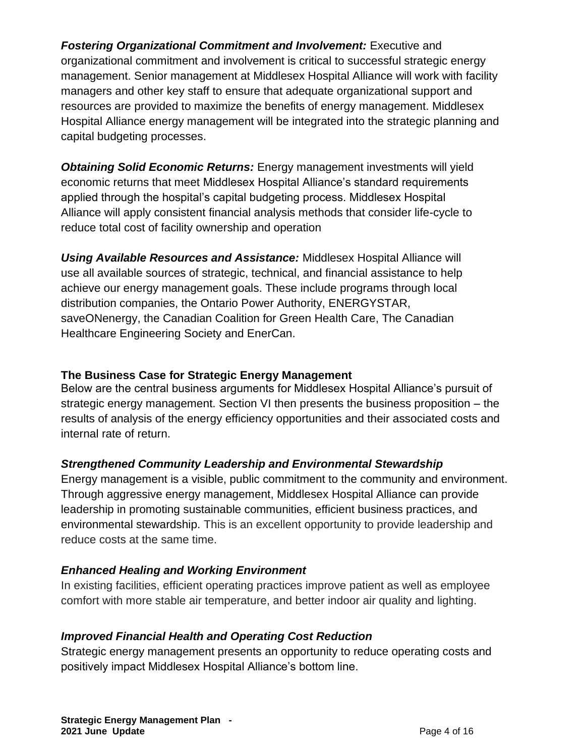*Fostering Organizational Commitment and Involvement:* Executive and organizational commitment and involvement is critical to successful strategic energy management. Senior management at Middlesex Hospital Alliance will work with facility managers and other key staff to ensure that adequate organizational support and resources are provided to maximize the benefits of energy management. Middlesex Hospital Alliance energy management will be integrated into the strategic planning and capital budgeting processes.

*Obtaining Solid Economic Returns:* Energy management investments will yield economic returns that meet Middlesex Hospital Alliance's standard requirements applied through the hospital's capital budgeting process. Middlesex Hospital Alliance will apply consistent financial analysis methods that consider life-cycle to reduce total cost of facility ownership and operation

*Using Available Resources and Assistance:* Middlesex Hospital Alliance will use all available sources of strategic, technical, and financial assistance to help achieve our energy management goals. These include programs through local distribution companies, the Ontario Power Authority, ENERGYSTAR, saveONenergy, the Canadian Coalition for Green Health Care, The Canadian Healthcare Engineering Society and EnerCan.

#### **The Business Case for Strategic Energy Management**

Below are the central business arguments for Middlesex Hospital Alliance's pursuit of strategic energy management. Section VI then presents the business proposition – the results of analysis of the energy efficiency opportunities and their associated costs and internal rate of return.

# *Strengthened Community Leadership and Environmental Stewardship*

Energy management is a visible, public commitment to the community and environment. Through aggressive energy management, Middlesex Hospital Alliance can provide leadership in promoting sustainable communities, efficient business practices, and environmental stewardship. This is an excellent opportunity to provide leadership and reduce costs at the same time.

# *Enhanced Healing and Working Environment*

In existing facilities, efficient operating practices improve patient as well as employee comfort with more stable air temperature, and better indoor air quality and lighting.

# *Improved Financial Health and Operating Cost Reduction*

Strategic energy management presents an opportunity to reduce operating costs and positively impact Middlesex Hospital Alliance's bottom line.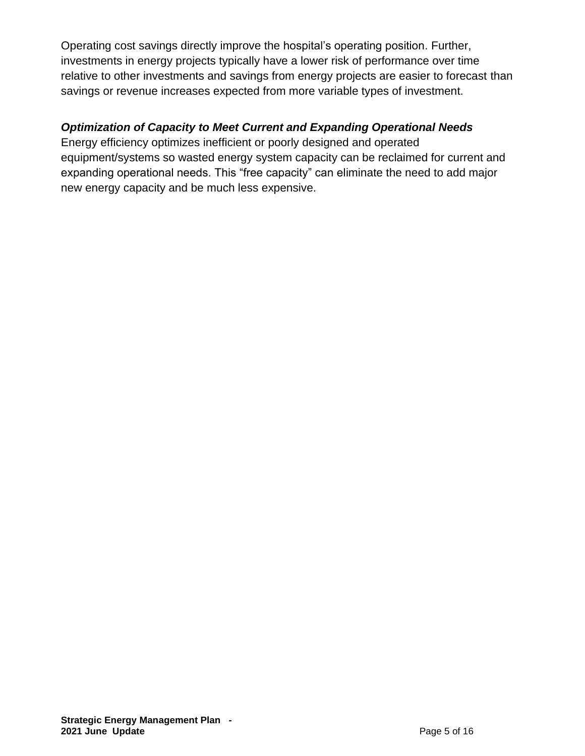Operating cost savings directly improve the hospital's operating position. Further, investments in energy projects typically have a lower risk of performance over time relative to other investments and savings from energy projects are easier to forecast than savings or revenue increases expected from more variable types of investment.

# *Optimization of Capacity to Meet Current and Expanding Operational Needs*

Energy efficiency optimizes inefficient or poorly designed and operated equipment/systems so wasted energy system capacity can be reclaimed for current and expanding operational needs. This "free capacity" can eliminate the need to add major new energy capacity and be much less expensive.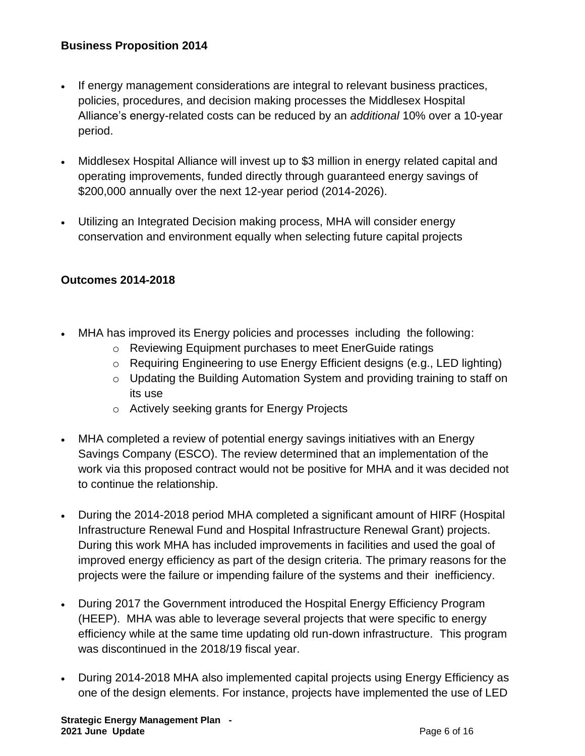#### **Business Proposition 2014**

- If energy management considerations are integral to relevant business practices, policies, procedures, and decision making processes the Middlesex Hospital Alliance's energy-related costs can be reduced by an *additional* 10% over a 10-year period.
- Middlesex Hospital Alliance will invest up to \$3 million in energy related capital and operating improvements, funded directly through guaranteed energy savings of \$200,000 annually over the next 12-year period (2014-2026).
- Utilizing an Integrated Decision making process, MHA will consider energy conservation and environment equally when selecting future capital projects

# **Outcomes 2014-2018**

- MHA has improved its Energy policies and processes including the following:
	- o Reviewing Equipment purchases to meet EnerGuide ratings
	- o Requiring Engineering to use Energy Efficient designs (e.g., LED lighting)
	- o Updating the Building Automation System and providing training to staff on its use
	- o Actively seeking grants for Energy Projects
- MHA completed a review of potential energy savings initiatives with an Energy Savings Company (ESCO). The review determined that an implementation of the work via this proposed contract would not be positive for MHA and it was decided not to continue the relationship.
- During the 2014-2018 period MHA completed a significant amount of HIRF (Hospital Infrastructure Renewal Fund and Hospital Infrastructure Renewal Grant) projects. During this work MHA has included improvements in facilities and used the goal of improved energy efficiency as part of the design criteria. The primary reasons for the projects were the failure or impending failure of the systems and their inefficiency.
- During 2017 the Government introduced the Hospital Energy Efficiency Program (HEEP). MHA was able to leverage several projects that were specific to energy efficiency while at the same time updating old run-down infrastructure. This program was discontinued in the 2018/19 fiscal year.
- During 2014-2018 MHA also implemented capital projects using Energy Efficiency as one of the design elements. For instance, projects have implemented the use of LED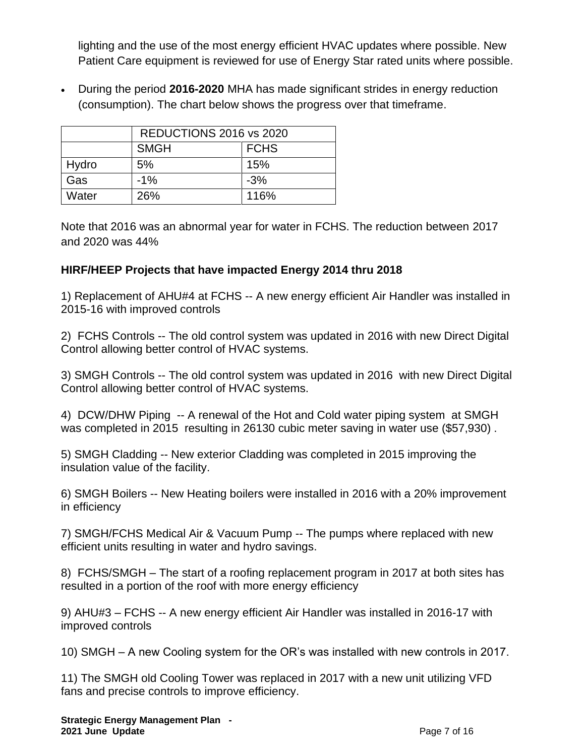lighting and the use of the most energy efficient HVAC updates where possible. New Patient Care equipment is reviewed for use of Energy Star rated units where possible.

• During the period **2016-2020** MHA has made significant strides in energy reduction (consumption). The chart below shows the progress over that timeframe.

|       | REDUCTIONS 2016 vs 2020 |             |  |
|-------|-------------------------|-------------|--|
|       | <b>SMGH</b>             | <b>FCHS</b> |  |
| Hydro | 5%                      | 15%         |  |
| Gas   | $-1\%$                  | $-3%$       |  |
| Water | 26%                     | 116%        |  |

Note that 2016 was an abnormal year for water in FCHS. The reduction between 2017 and 2020 was 44%

# **HIRF/HEEP Projects that have impacted Energy 2014 thru 2018**

1) Replacement of AHU#4 at FCHS -- A new energy efficient Air Handler was installed in 2015-16 with improved controls

2) FCHS Controls -- The old control system was updated in 2016 with new Direct Digital Control allowing better control of HVAC systems.

3) SMGH Controls -- The old control system was updated in 2016 with new Direct Digital Control allowing better control of HVAC systems.

4) DCW/DHW Piping -- A renewal of the Hot and Cold water piping system at SMGH was completed in 2015 resulting in 26130 cubic meter saving in water use (\$57,930) .

5) SMGH Cladding -- New exterior Cladding was completed in 2015 improving the insulation value of the facility.

6) SMGH Boilers -- New Heating boilers were installed in 2016 with a 20% improvement in efficiency

7) SMGH/FCHS Medical Air & Vacuum Pump -- The pumps where replaced with new efficient units resulting in water and hydro savings.

8) FCHS/SMGH – The start of a roofing replacement program in 2017 at both sites has resulted in a portion of the roof with more energy efficiency

9) AHU#3 – FCHS -- A new energy efficient Air Handler was installed in 2016-17 with improved controls

10) SMGH – A new Cooling system for the OR's was installed with new controls in 2017.

11) The SMGH old Cooling Tower was replaced in 2017 with a new unit utilizing VFD fans and precise controls to improve efficiency.

**Strategic Energy Management Plan - 2021 June Update** Page 7 of 16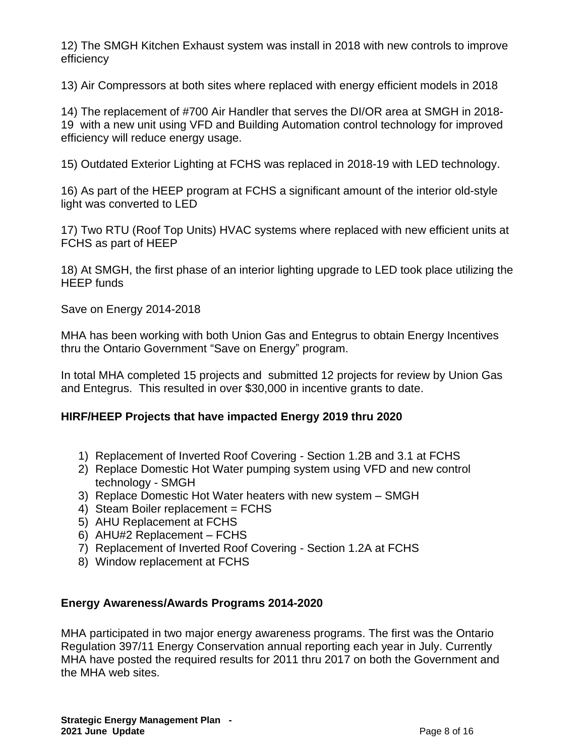12) The SMGH Kitchen Exhaust system was install in 2018 with new controls to improve efficiency

13) Air Compressors at both sites where replaced with energy efficient models in 2018

14) The replacement of #700 Air Handler that serves the DI/OR area at SMGH in 2018- 19 with a new unit using VFD and Building Automation control technology for improved efficiency will reduce energy usage.

15) Outdated Exterior Lighting at FCHS was replaced in 2018-19 with LED technology.

16) As part of the HEEP program at FCHS a significant amount of the interior old-style light was converted to LED

17) Two RTU (Roof Top Units) HVAC systems where replaced with new efficient units at FCHS as part of HEEP

18) At SMGH, the first phase of an interior lighting upgrade to LED took place utilizing the HEEP funds

Save on Energy 2014-2018

MHA has been working with both Union Gas and Entegrus to obtain Energy Incentives thru the Ontario Government "Save on Energy" program.

In total MHA completed 15 projects and submitted 12 projects for review by Union Gas and Entegrus. This resulted in over \$30,000 in incentive grants to date.

# **HIRF/HEEP Projects that have impacted Energy 2019 thru 2020**

- 1) Replacement of Inverted Roof Covering Section 1.2B and 3.1 at FCHS
- 2) Replace Domestic Hot Water pumping system using VFD and new control technology - SMGH
- 3) Replace Domestic Hot Water heaters with new system SMGH
- 4) Steam Boiler replacement = FCHS
- 5) AHU Replacement at FCHS
- 6) AHU#2 Replacement FCHS
- 7) Replacement of Inverted Roof Covering Section 1.2A at FCHS
- 8) Window replacement at FCHS

#### **Energy Awareness/Awards Programs 2014-2020**

MHA participated in two major energy awareness programs. The first was the Ontario Regulation 397/11 Energy Conservation annual reporting each year in July. Currently MHA have posted the required results for 2011 thru 2017 on both the Government and the MHA web sites.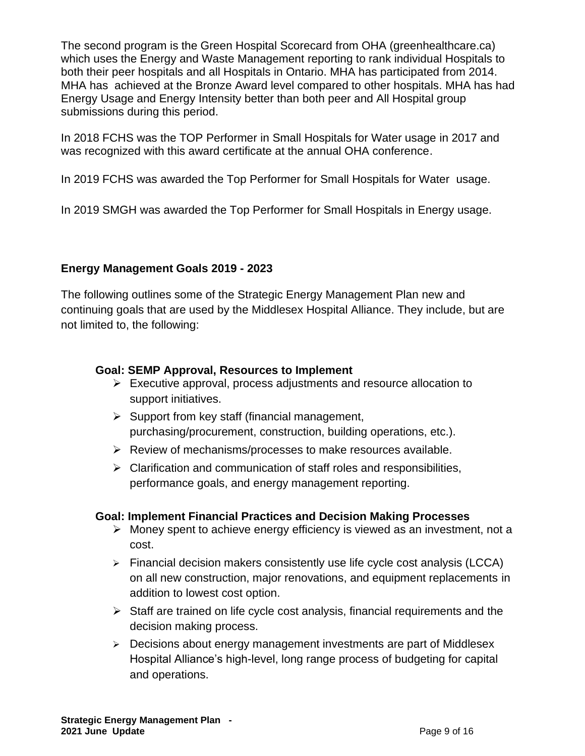The second program is the Green Hospital Scorecard from OHA (greenhealthcare.ca) which uses the Energy and Waste Management reporting to rank individual Hospitals to both their peer hospitals and all Hospitals in Ontario. MHA has participated from 2014. MHA has achieved at the Bronze Award level compared to other hospitals. MHA has had Energy Usage and Energy Intensity better than both peer and All Hospital group submissions during this period.

In 2018 FCHS was the TOP Performer in Small Hospitals for Water usage in 2017 and was recognized with this award certificate at the annual OHA conference.

In 2019 FCHS was awarded the Top Performer for Small Hospitals for Water usage.

In 2019 SMGH was awarded the Top Performer for Small Hospitals in Energy usage.

#### **Energy Management Goals 2019 - 2023**

The following outlines some of the Strategic Energy Management Plan new and continuing goals that are used by the Middlesex Hospital Alliance. They include, but are not limited to, the following:

#### **Goal: SEMP Approval, Resources to Implement**

- ➢ Executive approval, process adjustments and resource allocation to support initiatives.
- $\triangleright$  Support from key staff (financial management, purchasing/procurement, construction, building operations, etc.).
- ➢ Review of mechanisms/processes to make resources available.
- ➢ Clarification and communication of staff roles and responsibilities, performance goals, and energy management reporting.

#### **Goal: Implement Financial Practices and Decision Making Processes**

- ➢ Money spent to achieve energy efficiency is viewed as an investment, not a cost.
- $\triangleright$  Financial decision makers consistently use life cycle cost analysis (LCCA) on all new construction, major renovations, and equipment replacements in addition to lowest cost option.
- $\triangleright$  Staff are trained on life cycle cost analysis, financial requirements and the decision making process.
- ➢ Decisions about energy management investments are part of Middlesex Hospital Alliance's high-level, long range process of budgeting for capital and operations.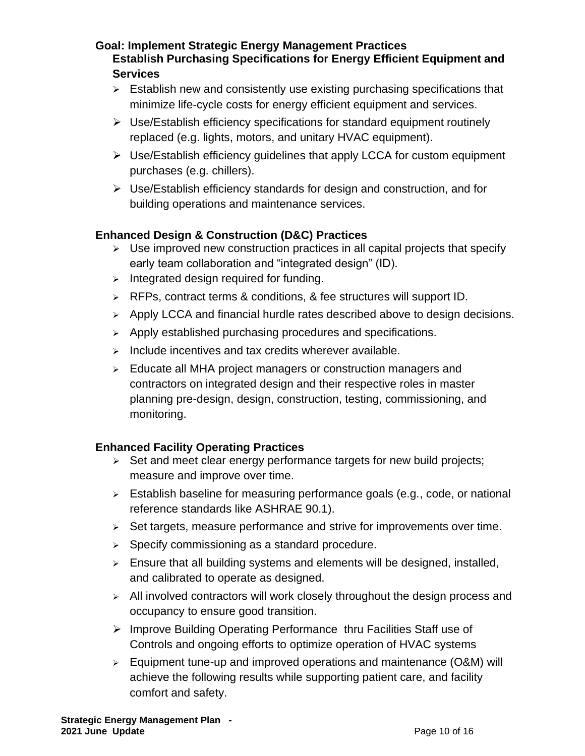# **Goal: Implement Strategic Energy Management Practices Establish Purchasing Specifications for Energy Efficient Equipment and Services**

- $\triangleright$  Establish new and consistently use existing purchasing specifications that minimize life-cycle costs for energy efficient equipment and services.
- ➢ Use/Establish efficiency specifications for standard equipment routinely replaced (e.g. lights, motors, and unitary HVAC equipment).
- $\triangleright$  Use/Establish efficiency guidelines that apply LCCA for custom equipment purchases (e.g. chillers).
- ➢ Use/Establish efficiency standards for design and construction, and for building operations and maintenance services.

# **Enhanced Design & Construction (D&C) Practices**

- $\triangleright$  Use improved new construction practices in all capital projects that specify early team collaboration and "integrated design" (ID).
- $\geq$  Integrated design required for funding.
- ➢ RFPs, contract terms & conditions, & fee structures will support ID.
- ➢ Apply LCCA and financial hurdle rates described above to design decisions.
- ➢ Apply established purchasing procedures and specifications.
- $\triangleright$  Include incentives and tax credits wherever available.
- ➢ Educate all MHA project managers or construction managers and contractors on integrated design and their respective roles in master planning pre-design, design, construction, testing, commissioning, and monitoring.

# **Enhanced Facility Operating Practices**

- ➢ Set and meet clear energy performance targets for new build projects; measure and improve over time.
- ➢ Establish baseline for measuring performance goals (e.g., code, or national reference standards like ASHRAE 90.1).
- $\triangleright$  Set targets, measure performance and strive for improvements over time.
- $\geq$  Specify commissioning as a standard procedure.
- ➢ Ensure that all building systems and elements will be designed, installed, and calibrated to operate as designed.
- ➢ All involved contractors will work closely throughout the design process and occupancy to ensure good transition.
- ➢ Improve Building Operating Performance thru Facilities Staff use of Controls and ongoing efforts to optimize operation of HVAC systems
- ➢ Equipment tune-up and improved operations and maintenance (O&M) will achieve the following results while supporting patient care, and facility comfort and safety.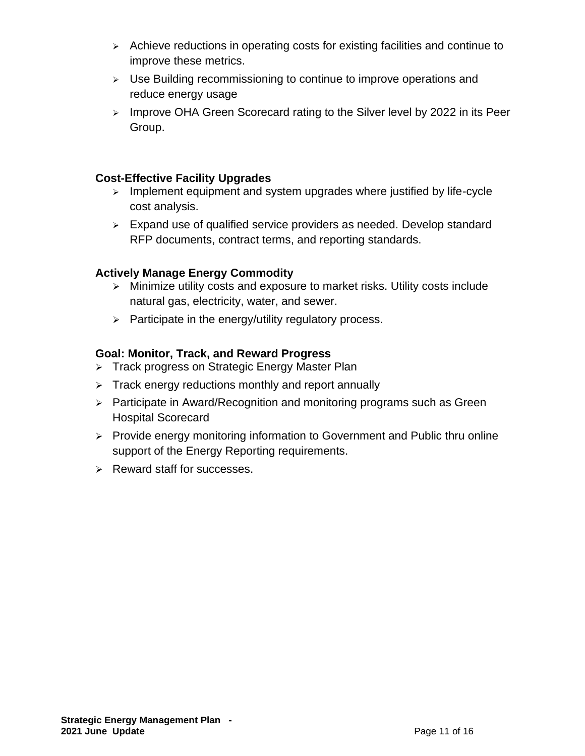- ➢ Achieve reductions in operating costs for existing facilities and continue to improve these metrics.
- ➢ Use Building recommissioning to continue to improve operations and reduce energy usage
- ➢ Improve OHA Green Scorecard rating to the Silver level by 2022 in its Peer Group.

#### **Cost-Effective Facility Upgrades**

- ➢ Implement equipment and system upgrades where justified by life-cycle cost analysis.
- ➢ Expand use of qualified service providers as needed. Develop standard RFP documents, contract terms, and reporting standards.

#### **Actively Manage Energy Commodity**

- ➢ Minimize utility costs and exposure to market risks. Utility costs include natural gas, electricity, water, and sewer.
- ➢ Participate in the energy/utility regulatory process.

#### **Goal: Monitor, Track, and Reward Progress**

- ➢ Track progress on Strategic Energy Master Plan
- ➢ Track energy reductions monthly and report annually
- ➢ Participate in Award/Recognition and monitoring programs such as Green Hospital Scorecard
- ➢ Provide energy monitoring information to Government and Public thru online support of the Energy Reporting requirements.
- ➢ Reward staff for successes.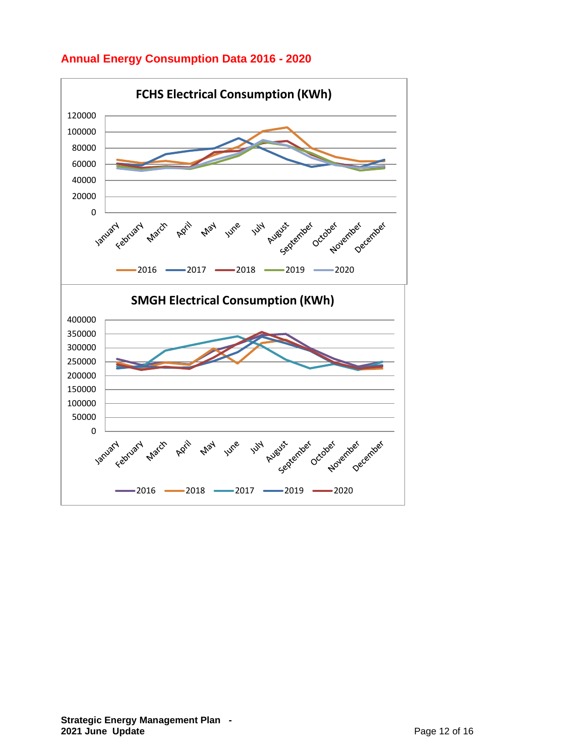# **Annual Energy Consumption Data 2016 - 2020**

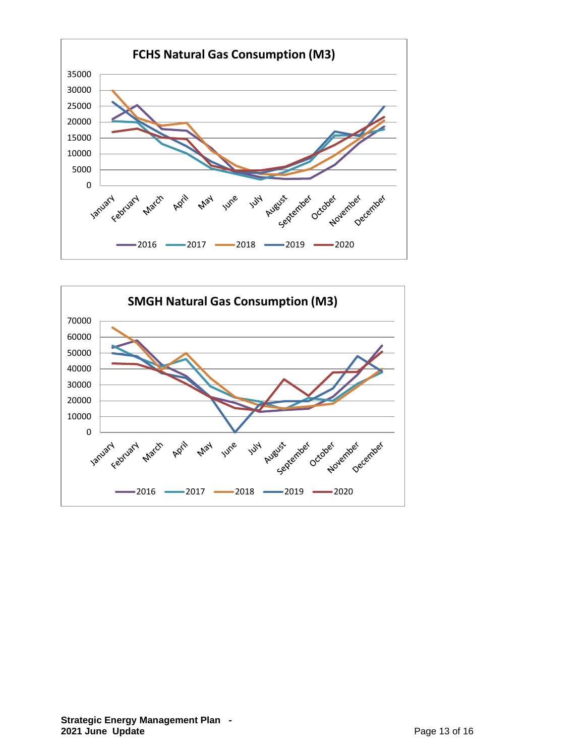

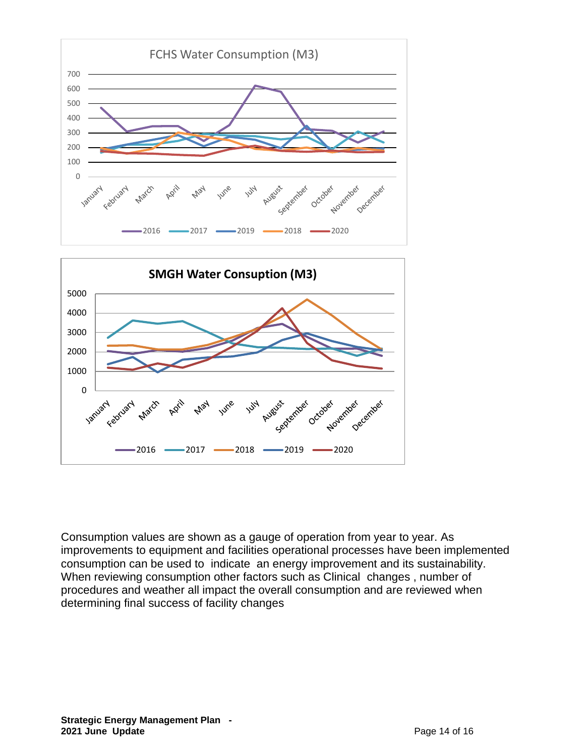



Consumption values are shown as a gauge of operation from year to year. As improvements to equipment and facilities operational processes have been implemented consumption can be used to indicate an energy improvement and its sustainability. When reviewing consumption other factors such as Clinical changes , number of procedures and weather all impact the overall consumption and are reviewed when determining final success of facility changes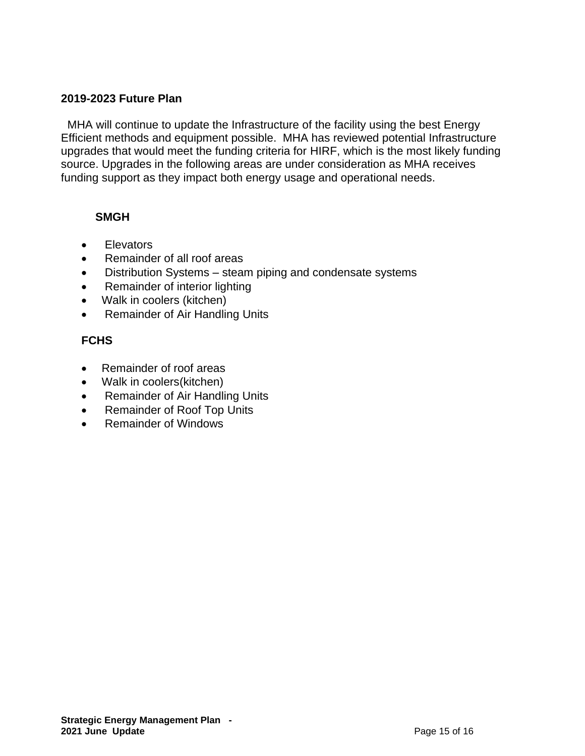#### **2019-2023 Future Plan**

 MHA will continue to update the Infrastructure of the facility using the best Energy Efficient methods and equipment possible. MHA has reviewed potential Infrastructure upgrades that would meet the funding criteria for HIRF, which is the most likely funding source. Upgrades in the following areas are under consideration as MHA receives funding support as they impact both energy usage and operational needs.

#### **SMGH**

- Elevators
- Remainder of all roof areas
- Distribution Systems steam piping and condensate systems
- Remainder of interior lighting
- Walk in coolers (kitchen)
- Remainder of Air Handling Units

# **FCHS**

- Remainder of roof areas
- Walk in coolers(kitchen)
- Remainder of Air Handling Units
- Remainder of Roof Top Units
- Remainder of Windows